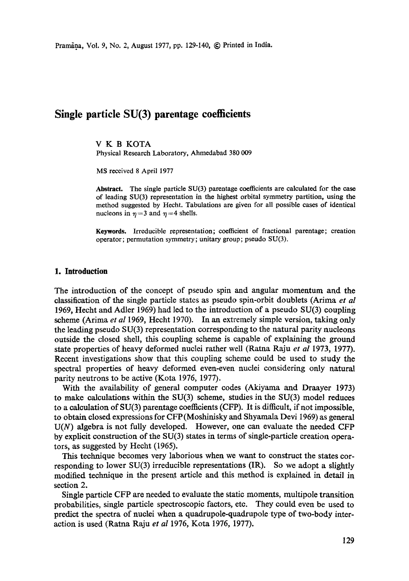# **Single particle SU(3) parentage coefficients**

V K B KOTA Physical Research Laboratory, Ahmedabad 380 009

MS received 8 April 1977

**Abstract.** The single particle SU(3) parentage coefficients are calculated for the ease of leading SU(3) representation in the highest orbital symmetry partition, using the method suggested by Hecht. Tabulations are given for all possible eases of identical nucleons in  $\eta = 3$  and  $\eta = 4$  shells.

**Keywords.** Irreducible representation; coefficient of fractional parentage; creation operator; permutation symmetry; unitary group; pseudo SU(3).

### **1. Introduction**

The introduction of the concept of pseudo spin and angular momentum and the classification of the single particle states as pseudo spin-orbit doublets (Arima *et al*  1969, Hecht and Adler 1969) had led to the introduction of a pseudo SU(3) coupling scheme (Arima *et al* 1969, Hecht 1970). In an extremely simple version, taking only the leading pseudo SU(3) representation corresponding to the natural parity nucleons outside the closed shell, this coupling scheme is capable of explaining the ground state properties of heavy deformed nuclei rather well (Ratna Raju *et al* 1973, 1977). Recent investigations show that this coupling scheme could be used to study the spectral properties of heavy deformed even-even nuclei considering only natural parity neutrons to be active (Kota 1976, 1977).

With the availability of general computer codes (Akiyama and Draayer 1973) to make calculations within the SU(3) scheme, studies in the SU(3) model reduces to a calculation of SU(3) parentage coefficients (CFP). It is difficult, if not impossible, to obtain closed expressions for CFP(Moshinisky and Shyamala Devi 1969) as general  $U(N)$  algebra is not fully developed. However, one can evaluate the needed CFP by explicit construction of the SU(3) states in terms of single-particle creation operators, as suggested by Hecht (1965).

This teelmique becomes very laborious when we want to construct the states corresponding to lower  $SU(3)$  irreducible representations (IR). So we adopt a slightly modified technique in the present article and this method is explained in detail in section 2.

Single particle CFP are needed to evaluate the static moments, multipole transition probabilities, single particle spectroscopic factors, etc. They could even be used to predict the spectra of nuclei when a quadrupole-quadrupole type of two-body interaction is used (Ratna Raju *et al* 1976, Kota 1976, 1977).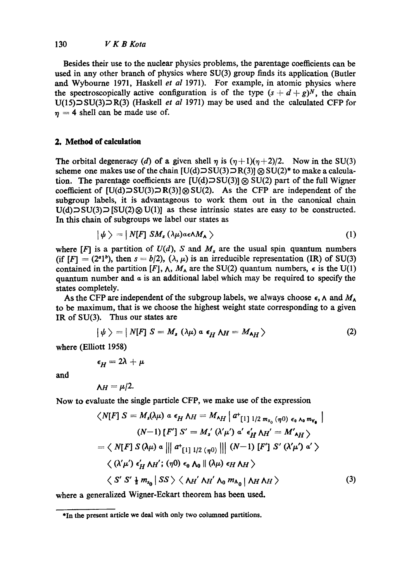# 130 *V K B Kota*

Besides their use to the nuclear physics problems, the parentage coefficients can be used in any other branch of physics where SU(3) group finds its application (Butler and Wybourne 1971, Haskell *et al* 1971). For example, in atomic physics where the spectroscopically active configuration is of the type  $(s + d + g)<sup>N</sup>$ , the chain  $U(15)$  $\supset$   $SU(3)$  $\supset$   $R(3)$  (Haskell *et al* 1971) may be used and the calculated CFP for  $\eta = 4$  shell can be made use of.

## **2. Method of calculation**

The orbital degeneracy (d) of a given shell  $\eta$  is  $(\eta+1)(\eta+2)/2$ . Now in the SU(3) scheme one makes use of the chain  $[U(d) \supset SU(3) \supset R(3)] \otimes SU(2)^*$  to make a calculation. The parentage coefficients are  $[U(d)] \otimes SU(3)$   $\otimes SU(2)$  part of the full Wigner coefficient of  $[U(d)\supset SU(3)] \otimes SU(2)$ . As the CFP are independent of the subgroup labels, it is advantageous to work them out in the canonical chain  $U(d) \supset SU(3) \supset [SU(2) \otimes U(1)]$  as these intrinsic states are easy to be constructed. In this chain of subgroups we label our states as

$$
|\psi\rangle = |N[F] SM_s (\lambda \mu) a \epsilon \Lambda M_\lambda \rangle \qquad (1)
$$

where  $[F]$  is a partition of  $U(d)$ , S and  $M_s$  are the usual spin quantum numbers (if  $[F] = (2^a)^b$ ), then  $s = b/2$ ),  $(\lambda, \mu)$  is an irreducible representation (IR) of SU(3) contained in the partition  $[F]$ ,  $\wedge$ ,  $M_{\wedge}$  are the SU(2) quantum numbers,  $\epsilon$  is the U(1) quantum number and  $\alpha$  is an additional label which may be required to specify the states completely.

As the CFP are independent of the subgroup labels, we always choose  $\epsilon$ ,  $\Lambda$  and  $M_{\Lambda}$ to be maximum, that is we choose the highest weight state corresponding to a given IR of SU(3). Thus our states are

$$
|\psi\rangle = |N[F] S = M_s (\lambda \mu) a \epsilon_H M = M_{\lambda H} \rangle
$$
 (2)

where (Elliott 1958)

$$
\epsilon_H=2\lambda+\mu
$$

and

$$
\Lambda H = \mu/2.
$$

Now to evaluate the single particle CFP, we make use of the expression

$$
\langle N[F] S = M_s(\lambda \mu) a \epsilon_H \lambda_H = M_{\lambda H} \left[ a^+_{[1] \ 1/2 \ m_{S_0} (\eta 0)} \epsilon_0 \lambda_0 m_{V_0} \right]
$$
  

$$
(N-1) [F'] S' = M_s' (\lambda' \mu') a' \epsilon_H' \lambda_H' = M'_{\lambda H} \rangle
$$
  

$$
= \langle N[F] S (\lambda \mu) a ||\left[ a^+_{[1] \ 1/2 (\eta 0)} ||\right] (N-1) [F'] S' (\lambda' \mu') a' \rangle
$$
  

$$
\langle (\lambda' \mu') \epsilon_H' \lambda_H'; (\eta 0) \epsilon_0 \lambda_0 || (\lambda \mu) \epsilon_H \lambda_H \rangle
$$
  

$$
\langle S' S' \frac{1}{2} m_{S_0} | SS \rangle \langle \lambda_H' \lambda_H' \lambda_0 m_{\lambda_0} | \lambda_H \lambda_H \rangle
$$
 (3)

where a generalized Wigner-Eckart theorem has been used.

**<sup>\*</sup>In the present article we deal with only two columned partitions.**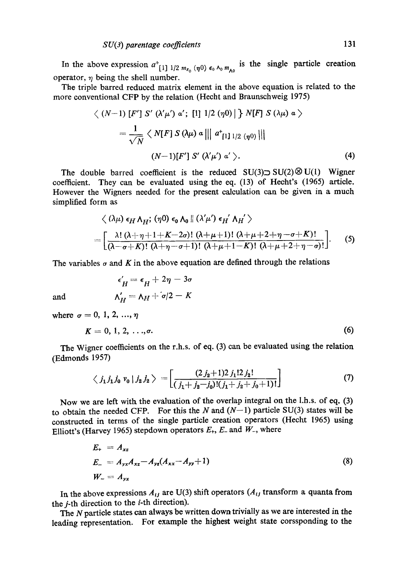In the above expression  $a^+_{[1] \, 1/2 \, m_{s_0} (\eta_0) \, \epsilon_0 \, \Lambda_0 \, m_{\Lambda_0}}$  is the single particle creation operator,  $\eta$  being the shell number.

The triple barred reduced matrix dement in the above equation is related to the more conventional CFP by the relation (Hecht and Braunschweig 1975)

$$
\langle (N-1) [F'] S' (\lambda' \mu') \alpha'; [1] 1/2 (\eta 0) | \} N[F] S (\lambda \mu) \alpha \rangle
$$
  
=  $\frac{1}{\sqrt{N}} \langle N[F] S (\lambda \mu) \alpha ||| \alpha^*_{[1] 1/2 (\eta 0)} |||$   

$$
(N-1)[F'] S' (\lambda' \mu') \alpha' \rangle.
$$
 (4)

The double barred coefficient is the reduced  $SU(3) \supset SU(2) \otimes U(1)$  Wigner coefficient. They can be evaluated using the eq. (13) of Hecht's (1965) article. However the Wigners needed for the present calculation can be given in a much simplified form as

$$
\langle (\lambda \mu) \epsilon_H \Lambda_H; (\eta 0) \epsilon_0 \Lambda_0 \parallel (\lambda' \mu') \epsilon_H' \Lambda_H' \rangle
$$
  
= 
$$
\left[ \frac{\lambda! (\lambda + \eta + 1 + K - 2\sigma)! (\lambda + \mu + 1)! (\lambda + \mu + 2 + \eta - \sigma + K)!}{(\lambda - \sigma + K)! (\lambda + \eta - \sigma + 1)! (\lambda + \mu + 1 - K)! (\lambda + \mu + 2 + \eta - \sigma)!} \right].
$$
 (5)

The variables  $\sigma$  and K in the above equation are defined through the relations

 $\epsilon' = \epsilon + 2n - 3\sigma$ 

and 
$$
\Lambda'_H = \Lambda_H + \sigma/2 - K
$$
  
where  $\sigma = 0, 1, 2, ..., \eta$   
 $K = 0, 1, 2, ..., \sigma.$  (6)

The Wigner coefficients on the r.h.s. of eq. (3) can be evaluated using the relation (Edmonds 1957)

$$
\langle j_1 j_1 j_0 v_0 | j_2 j_2 \rangle = \left[ \frac{(2 j_2 + 1) 2 j_1! 2 j_2!}{(j_1 + j_2 - j_0)! (j_1 + j_2 + j_0 + 1)!} \right]
$$
(7)

Now we are left with the evaluation of the overlap integral on the l.h.s. of eq. (3) to obtain the needed CFP. For this the N and  $(N-1)$  particle SU(3) states will be constructed in terms of the single particle creation operators (Hecht 1965) using Elliott's (Harvey 1965) stepdown operators  $E_{+}$ ,  $E_{-}$  and  $W_{-}$ , where

$$
E_{+} = A_{xz}
$$
  
\n
$$
E_{-} = A_{yx}A_{xz} - A_{yz}(A_{xx} - A_{yy} + 1)
$$
  
\n
$$
W_{-} = A_{yx}
$$
\n(8)

In the above expressions  $A_{ij}$  are U(3) shift operators ( $A_{ij}$  transform a quanta from the  $j$ -th direction to the  $i$ -th direction).

The N particle states can always be written down trivially as we are interested in *the*  leading representation. For example the highest weight state corssponding to the

where  $\sigma$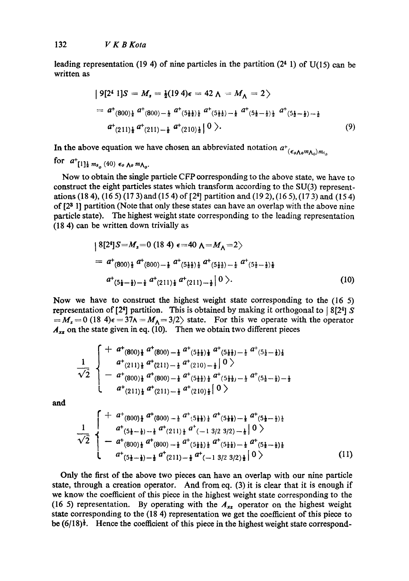leading representation (19 4) of nine particles in the partition  $(2<sup>4</sup> 1)$  of U(15) can be written as

$$
|9[24 1]S = M_s = \frac{1}{2}(19 \ 4)\epsilon = 42 \ \Lambda = M_\Lambda = 2
$$
  
=  $a^+(800)_\frac{1}{2} a^+(800) - \frac{1}{2} a^+(5\frac{1}{2})_\frac{1}{2} a^+(5\frac{1}{2}) - \frac{1}{2} a^+(5\frac{1}{2} - \frac{1}{2})_\frac{1}{2} a^+(5\frac{1}{2} - \frac{1}{2}) - \frac{1}{2} a^+(211)_\frac{1}{2} a^+(210)_\frac{1}{2} |0 \rangle.$  (9)

In the above equation we have chosen an abbreviated notation  $a^+_{(\epsilon_0\Lambda_0 m_{\Lambda_0})m_{s_0}}$ 

for  $a^+$ [1] $\frac{1}{2} m_{s_a}$  (40)  $\epsilon_0$  Ao  $m_{\Lambda_o}$ .

Now to obtain the single particle CFP corresponding to the above state, we have to construct the eight particles states which transform according to the SU(3) representations (18 4), (16 5) (17 3) and (15 4) of [24] partition and (19 2), (16 5), (17 3) and (15 4) of  $[2<sup>3</sup>$  1] partition (Note that only these states can have an overlap with the above nine particle state). The highest weight state corresponding to the leading representation (18 4) can be written down trivially as

$$
|8[2^4]S = M_s = 0 (18.4) \epsilon = 40 \Lambda = M_\Lambda = 2
$$
  
=  $a^+(800) \frac{1}{2} a^+(800) - \frac{1}{2} a^+(5\frac{1}{2}) \frac{1}{2} a^+(5\frac{1}{2}) - \frac{1}{2} a^+(5\frac{1}{2} - \frac{1}{2}) \frac{1}{2}$   
 $a^+(5\frac{1}{2} - \frac{1}{2}) - \frac{1}{2} a^+(211) \frac{1}{2} a^+(211) - \frac{1}{2} |0 \rangle.$  (10)

Now we have to construct the highest weight state corresponding to the (16 5) representation of [24] partition. This is obtained by making it orthogonal to | 8[24]  $S$  $=M_s = 0$  (18 4) $\epsilon = 37\lambda = M_\Lambda = 3/2$ ) state. For this we operate with the operator  $A_{xx}$  on the state given in eq. (10). Then we obtain two different pieces

$$
\frac{1}{\sqrt{2}}\begin{cases} + a^{+}(800) + a^{+}(800) - \frac{1}{2} a^{+}(5\frac{1}{2}\frac{1}{2}) + a^{+}(5\frac{1}{2}\frac{1}{2}) - \frac{1}{2} a^{+}(5\frac{1}{2}-\frac{1}{2})\frac{1}{2} \\ a^{+}(211) + a^{+}(211) - \frac{1}{2} a^{+}(210) - \frac{1}{2} \end{cases} (60)
$$
  

$$
a^{+}(800) + a^{+}(800) - \frac{1}{2} a^{+}(5\frac{1}{2}\frac{1}{2}) + a^{+}(5\frac{1}{2}\frac{1}{2}) - \frac{1}{2} a^{+}(5\frac{1}{2}-\frac{1}{2}) - \frac{1}{2} \\ a^{+}(211) + a^{+}(211) - \frac{1}{2} a^{+}(210) + a^{+}(210) + a^{+}(210) + a^{+}(210) + a^{+}(210) + a^{+}(210) + a^{+}(210) + a^{+}(210) + a^{+}(210) + a^{+}(210) + a^{+}(210) + a^{+}(210) + a^{+}(210) + a^{+}(210) + a^{+}(210) + a^{+}(210) + a^{+}(210) + a^{+}(210) + a^{+}(210) + a^{+}(210) + a^{+}(210) + a^{+}(210) + a^{+}(210) + a^{+}(210) + a^{+}(210) + a^{+}(210) + a^{+}(210) + a^{+}(210) + a^{+}(210) + a^{+}(210) + a^{+}(210) + a^{+}(210) + a^{+}(210) + a^{+}(210) + a^{+}(210) + a^{+}(210) + a^{+}(210) + a^{+}(210) + a^{+}(210) + a^{+}(210) + a^{+}(210) + a^{+}(210) + a^{+}(210) + a^{+}(210) + a^{+}(210) + a^{+}(210) + a^{+}(210) + a^{+}(210) + a^{+}(210) + a^{+}(210) + a^{+}(210) + a^{+}(21
$$

and

$$
\frac{1}{\sqrt{2}}\begin{cases} + a^{+}(800) \frac{1}{2} a^{+}(800) - \frac{1}{2} a^{+}(5\frac{1}{2}) \frac{1}{2} a^{+}(5\frac{1}{2}) - \frac{1}{2} a^{+}(5\frac{1}{2}-\frac{1}{2}) \frac{1}{2} \\ a^{+}(5\frac{1}{2}-\frac{1}{2}) - \frac{1}{2} a^{+}(211) \frac{1}{2} a^{+}(-13/23/2) - \frac{1}{2} \end{cases} 0 \\ - a^{+}(800) \frac{1}{2} a^{+}(800) - \frac{1}{2} a^{+}(5\frac{1}{2}) \frac{1}{2} a^{+}(5\frac{1}{2}) - \frac{1}{2} a^{+}(5\frac{1}{2}-\frac{1}{2}) \frac{1}{2} \\ a^{+}(5\frac{1}{2}-\frac{1}{2}) - \frac{1}{2} a^{+}(211) - \frac{1}{2} a^{+}(-13/23/2) \frac{1}{2} \begin{pmatrix} 0 \\ 0 \end{pmatrix} \end{cases}
$$
\n(11)

Only the first of the above two pieces can have an overlap with our nine particle state, through a creation operator. And from eq. (3) it is clear that it is enough if we know the coefficient of this piece in the highest weight state corresponding to the (16 5) representation. By operating with the  $A_{xz}$  operator on the highest weight state corresponding to the (18 4) representation we get the coefficient of this piece to be  $(6/18)^{\frac{1}{2}}$ . Hence the coefficient of this piece in the highest weight state correspond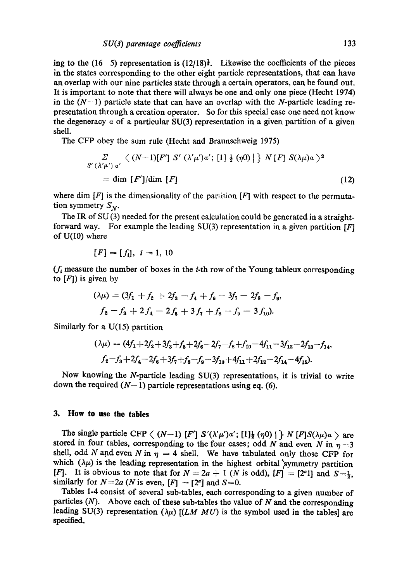ing to the (16 5) representation is  $(12/18)^{\frac{1}{2}}$ . Likewise the coefficients of the pieces in the states corresponding to the other eight particle representations, that can have an overlap with our nine particles state through a certain operators, can be found out. It is important to note that there will always be one and only one piece (Hecht 1974) in the  $(N-1)$  particle state that can have an overlap with the N-particle leading representation through a creation operator. So for this special case one need not know the degeneracy  $\alpha$  of a particular SU(3) representation in a given partition of a given shell.

The CFP obey the sum rule (Hecht and Braunschweig 1975)

$$
\Sigma \langle (\lambda'\mu') \alpha' \langle (N-1)[F'] \ S' (\lambda'\mu') \alpha'; [1] \frac{1}{2} (\eta 0) | \rangle N [F] S(\lambda \mu) \alpha \rangle^2
$$
  
= dim [F']/dim [F] (12)

where dim  $[F]$  is the dimensionality of the partition  $[F]$  with respect to the permutation symmetry  $S_N$ .

The IR of  $SU(3)$  needed for the present calculation could be generated in a straightforward way. For example the leading SU(3) representation in a given partition  $[F]$ of U(10) where

$$
[F] = [f_i], i = 1, 10
$$

 $(f_t$  measure the number of boxes in the *i*-th row of the Young tableux corresponding to  $[F]$ ) is given by

$$
(\lambda \mu) = (3f_1 + f_2 + 2f_3 - f_4 + f_6 - 3f_7 - 2f_8 - f_9,
$$
  

$$
f_2 - f_3 + 2f_4 - 2f_6 + 3f_7 + f_8 - f_9 - 3f_{10}).
$$

Similarly for a U(15) partition

$$
(\lambda \mu) = (4f_1 + 2f_2 + 3f_3 + f_5 + 2f_6 - 2f_7 - f_8 + f_{10} - 4f_{11} - 3f_{12} - 2f_{13} - f_{14},
$$
  

$$
f_2 - f_3 + 2f_4 - 2f_6 + 3f_7 + f_8 - f_9 - 3f_{10} + 4f_{11} + 2f_{12} - 2f_{14} - 4f_{15}).
$$

Now knowing the N-particle leading SU(3) representations, it is trivial to write down the required  $(N-1)$  particle representations using eq. (6).

## **3. How to use the tables**

The single particle CFP  $\langle (N-1) [F'] S'(\lambda'\mu')\alpha'; [1]\frac{1}{2} (\eta 0) \mid \rangle N [F] S(\lambda \mu) \alpha \rangle$  are stored in four tables, corresponding to the four cases; odd N and even N in  $\eta = 3$ shell, odd N and even N in  $\eta = 4$  shell. We have tabulated only those CFP for which  $(\lambda \mu)$  is the leading representation in the highest orbital 'symmetry partition [F]. It is obvious to note that for  $N = 2a + 1$  (N is odd),  $[F] = [2^a 1]$  and  $S = \frac{1}{2}$ . similarly for  $N=2a$  (N is even,  $[F] = [2^a]$  and  $S=0$ .

Tables 1-4 consist of several sub-tables, each corresponding to a given number of particles  $(N)$ . Above each of these sub-tables the value of N and the corresponding leading SU(3) representation  $(\lambda \mu)$  *[(LM MU)* is the symbol used in the tables] are specified.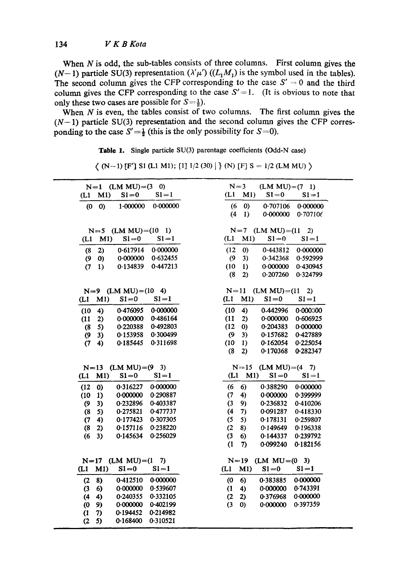When  $N$  is odd, the sub-tables consists of three columns. First column gives the (N-1) particle SU(3) representation  $(\lambda'\mu')$   $((L_1M_1)$  is the symbol used in the tables). The second column gives the CFP corresponding to the case  $S' = 0$  and the third column gives the CFP corresponding to the case  $S' = 1$ . (It is obvious to note that only these two cases are possible for  $S=\frac{1}{2}$ ).

When  $N$  is even, the tables consist of two columns. The first column gives the  $(N-1)$  particle SU(3) representation and the second column gives the CFP corresponding to the case  $S'=\frac{1}{2}$  (this is the only possibility for  $S=0$ ).

|  |  |  |  |  | <b>Table 1.</b> Single particle SU(3) parentage coefficients (Odd-N case) |  |  |
|--|--|--|--|--|---------------------------------------------------------------------------|--|--|
|--|--|--|--|--|---------------------------------------------------------------------------|--|--|

| $\left( 0\right)$                                   | $(LM MU)=(7 1)$                               |
|-----------------------------------------------------|-----------------------------------------------|
| $N=1$ (LM MU)=(3)                                   | $N=3$                                         |
| $S1 = 0$                                            | (L1)                                          |
| $S1 = 1$                                            | M1)                                           |
| M1)                                                 | $S1=0$                                        |
| (L1)                                                | $S1 = 1$                                      |
| 0.000000                                            | (6)                                           |
| $\boldsymbol{0}$                                    | $\left( 0\right)$                             |
| $1 - 000000$                                        | 0.707106                                      |
| $\boldsymbol{\omega}$                               | 0.000000                                      |
|                                                     | (4)<br>0.000000<br>0.707106<br>$\bf{1}$       |
|                                                     |                                               |
| $(LM MU)=(10$                                       | $(LM MU)=(11)$                                |
| -1)                                                 | $N=7$                                         |
| $N=5$                                               | 2)                                            |
| M1)                                                 | M1)                                           |
| $S1=0$                                              | (L1)                                          |
| $S1 = 1$                                            | $S1=0$                                        |
| (L1)                                                | $S1 = 1$                                      |
|                                                     |                                               |
| 0.617914                                            | (12)                                          |
| 0.000000                                            | 0.000000                                      |
| 2)                                                  | $\left( 0\right)$                             |
| (8)                                                 | 0.443812                                      |
| 0.632455                                            | $\boldsymbol{\vartheta}$                      |
| 0.000000                                            | 3)                                            |
| $\boldsymbol{0}$                                    | 0.342368                                      |
| (9)                                                 | 0.592999                                      |
| 0.447213                                            | (10)                                          |
| 0.134839                                            | $\bf{1}$                                      |
| (7)                                                 | 0.000000                                      |
| 1)                                                  | 0.430945                                      |
|                                                     | (8)<br>2)<br>0.207260<br>0.324799             |
|                                                     |                                               |
| $(LM MU)=(10 4)$<br>$N=9$                           | $N=11$<br>$(LM MU)=(11$<br>2)                 |
| M1)                                                 | (L1)                                          |
| $S1=0$                                              | M1)                                           |
| $S1 = 1$                                            | $S1=0$                                        |
| (L1)                                                | $S1 = 1$                                      |
| 0.000000                                            | (10)                                          |
| 4)                                                  | 4)                                            |
| 0.476095                                            | 0.442996                                      |
| (10)                                                | 0.000000                                      |
| 0.486164                                            | (11)                                          |
| 0.000000                                            | 0.000000                                      |
| (11)                                                | 0.606925                                      |
| 2)                                                  | 2)                                            |
| 0-492803                                            | (12)                                          |
| 5)                                                  | 0.204383                                      |
| 0.220388                                            | 0.000000                                      |
| (8)                                                 | $\boldsymbol{0}$                              |
| 0.300499                                            | (9)                                           |
| 0.153958                                            | 0.157682                                      |
| $\boldsymbol{\theta}$                               | 0.427889                                      |
| 3)                                                  | 3)                                            |
| 0.311698                                            | (10)                                          |
| (7)                                                 | 1)                                            |
| 0.185445                                            | 0.162054                                      |
| 4)                                                  | 0.225054                                      |
|                                                     | (8)<br>2)<br>0.170368<br>0.282347             |
|                                                     |                                               |
| $(LM MU)=(9 3)$<br>$N=13$                           | $(LM MU)=(4$<br>$N=15$<br>7)                  |
| M1)                                                 | M1)                                           |
| $S1 = 0$                                            | $SI = 0$                                      |
| $S1 = 1$                                            | (L1)                                          |
| (L1)                                                | $S1 = 1$                                      |
| 0.000000                                            | (6)                                           |
| 0)                                                  | 6)                                            |
| 0.316227                                            | 0.388290                                      |
| (12)                                                | 0.000000                                      |
| (10)                                                | (7)                                           |
| 0.000000                                            | 4)                                            |
| 0.290887                                            | 0.399999                                      |
| 1)                                                  | 0.000000                                      |
| 0.232896                                            | (3)                                           |
| 0.403387                                            | 0.236832                                      |
| $\boldsymbol{\vartheta}$                            | 0.410206                                      |
| 3)                                                  | 9)                                            |
| 0.275821                                            | (4)                                           |
| 0.477737                                            | 7)                                            |
| (8)                                                 | 0.091287                                      |
| 5)                                                  | 0.418330                                      |
| (7)                                                 | (5)                                           |
| 0.177423                                            | 5)                                            |
| 0.307305                                            | 0.178131                                      |
| 4)                                                  | 0.259807                                      |
| (8)                                                 | (2)                                           |
| 0.157116                                            | 0.196338                                      |
| 0-238220                                            | 8)                                            |
| 2)                                                  | 0.149649                                      |
| (6)                                                 | (3)                                           |
| 3)                                                  | 6)                                            |
| 0.256029                                            | 0.144337                                      |
| 0.145634                                            | 0.239792                                      |
|                                                     | (1)<br>0.099240<br>0.182156<br>7)             |
|                                                     |                                               |
| $(LM MU)=(1$<br>$N=17$<br>7)                        | $N=19$<br>$(LM MU=(0 3)$                      |
| M1)                                                 | (L1)                                          |
| $S1=0$                                              | M1)                                           |
| $S1 = 1$                                            | $S1 = 0$                                      |
| (L1)                                                | $S1 = 1$                                      |
| 0.000000                                            | 0.000000                                      |
| 0.412510                                            | 0.383885                                      |
| 8)                                                  | $\boldsymbol{\mathcal{L}}$                    |
| (2)                                                 | 6)                                            |
| 0.000000                                            | 0.743391                                      |
| 0.539607                                            | 0.000000                                      |
| (3)                                                 | $\left(1\right)$                              |
| 6)                                                  | 4)                                            |
| 0-240355<br>0.332105<br>(4)<br>4)                   | 0.000000<br>(2)<br>0.376968<br>2)<br>0.397359 |
| 0.000000<br>0.402199<br>$\boldsymbol{\omega}$<br>9) | (3)<br>0.000000<br>$\boldsymbol{0}$           |
| 0.194452<br>0.214982<br>$\mathfrak{a}$<br>7)        |                                               |
| (2)<br>5)<br>0.168400<br>0.310521                   |                                               |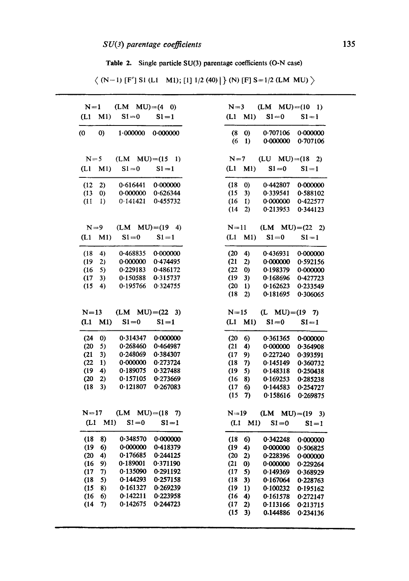Table 2. Single particle SU(3) parentage coefficients (O-N case)

 $\langle$  (N-1) [F'] S1 (L1 M1); [1] 1/2(40)] \end{(N) [F] S=1/2 (LM MU) \end{(N) \end{(N) \end{(N)} \end{(N) \end{(N)} \end{(N)} \end{(N)} \end{(N)} \end{(N)} \end{(N)} \end{(N)} \end{(N)} \end{(N)} \end{(N)} \end{(N)} \end{(

| $N=1$ |                    | $(LM MU)=(4 0)$         |                   |        | $N=3$            |                     | $(LM MU)=(10 1)$                             |
|-------|--------------------|-------------------------|-------------------|--------|------------------|---------------------|----------------------------------------------|
| (L1)  | M1                 | $S1=0$                  | $S1 = 1$          | (L1)   | M1               | $S1=0$              | $SI = 1$                                     |
| (0)   | $\mathbf{0}$       | 1.000000                | 0.000000          | (8)    | $\boldsymbol{0}$ | 0.707106            | 0.000000                                     |
|       |                    |                         |                   | (6)    | -1)              | 0.000000            | 0.707106                                     |
|       |                    |                         |                   |        |                  |                     |                                              |
|       | $N=5$              | $(LM MU)=(15 1)$        |                   |        |                  |                     | $N=7$ (LU MU)=(18 2)                         |
| (L1)  | M1                 | $S1=0$                  | $S1 = 1$          | (L1)   | M1               |                     | $S1 = 0$ $S1 = 1$                            |
| (12)  | 2)                 | 0.616441                | 0.000000          | (18)   | $\boldsymbol{0}$ | 0.442807            | 0.000000                                     |
| (13)  | $\Omega$           | 0.000000                | 0.626344          | (15)   | 3)               | 0.339541            | 0.588102                                     |
| (11)  | $\left\{ \right\}$ | 0.141421                | 0.455732          | (16)   | $\bf{1}$         | 0.000000            | 0.422577                                     |
|       |                    |                         |                   | (14)   | 2)               | 0.213953            | 0.344123                                     |
|       |                    | $N=9$ (LM MU)=(19 4)    |                   |        |                  |                     | $N=11$ (LM MU) = (22 2)                      |
|       |                    | $S1=0$                  | $S1 = 1$          |        |                  | $S1 = 0$            |                                              |
| (L1   | M1                 |                         |                   | (L1)   | M1               |                     | $SI = 1$                                     |
| (18)  | 4)                 | 0.468835                | 0.000000          | (20)   | 4)               | 0.436931            | 0.000000                                     |
| (19)  | 2)                 | 0.000000                | 0.474495          | (21)   | 2)               | 0.000000            | 0.592156                                     |
| (16)  | 5)                 | 0.229183                | 0.486172          | (22)   | $\boldsymbol{0}$ | 0.198379            | 0.000000                                     |
| (17)  | 3)                 | 0.150588                | 0.315737          | (19)   | 3)               | 0.168696            | 0.427723                                     |
| (15)  | 4)                 | 0.195766                | 0.324755          | (20)   | $\bf{1}$         | 0.162623            | 0.233549                                     |
|       |                    |                         |                   | (18)   | 2)               | 0.181695            | 0.306065                                     |
|       |                    | $N=13$ (LM MU) = (22 3) |                   | $N=15$ |                  | $(L$ MU $)=(19 7)$  |                                              |
|       | $(L1 \t M1)$       | $S1=0$                  | $S1 = 1$          | (L1    |                  | $M1)$ $S1=0$ $S1=1$ |                                              |
|       |                    |                         |                   |        |                  |                     |                                              |
| (24)  | $\boldsymbol{0}$   |                         | 0.314347 0.000000 | (20)   | 6)               | 0.361365            | 0.000000                                     |
| (20)  | 5)                 | 0.268460                | 0-464987          | (21)   | 4)               | 0.000000            | 0.364908                                     |
| (21)  | 3)                 | 0-248069                | 0.384307          | (17)   | 9)               | 0.227240            | 0.393591                                     |
| (22)  | $\bf{1}$           | 0.000000                | 0.273724          | (18)   | 7)               | 0.145149            | 0.360732                                     |
| (19)  | 4)                 | 0.189075                | 0.327488          | (19)   | 5)               | 0.148318            | 0.250438                                     |
| (20)  | 2)                 | 0.157105                | 0.273669          | (16)   | 8)               | 0.169253            | 0.285238                                     |
| (18)  | 3)                 | 0.121807                | 0.267083          | (17)   | 6)               | 0.144583            | 0.254727                                     |
|       |                    |                         |                   | (15)   | 7)               | 0.158616            | 0.269875                                     |
| N=17  |                    | $(LM MU)=(18 7)$        |                   | $N=19$ |                  |                     | $(LM MU)=(19 3)$                             |
| (L1   |                    | M1                      | $S1 = 0$ $S1 = 1$ |        | $(L1 \t M1)$     |                     | $S1 = 0$ $S1 = 1$                            |
|       |                    |                         |                   |        |                  |                     |                                              |
| (18)  | 8)                 |                         | 0.348570 0.000000 | (18)   | 6)               | 0.342248            | 0.000000                                     |
|       | 6)                 | 0.000000                | 0.418379          | (19)   | 4)               | 0.000000            | 0.506825                                     |
| (19)  | 4)                 | 0.176685                | 0.244125          | (20)   | 2)               | 0.228396            | 0.000000                                     |
| (20)  |                    | 0.189001                | 0.371190          | (21)   | 0)               | 0.000000            | 0.229264                                     |
| (16)  | 9)                 |                         | 0.291192          | (17)   | 5)               | 0.149369            | 0.368929                                     |
| (17)  | 7)                 | 0.135090                |                   |        |                  |                     |                                              |
| (18)  | 5)                 | 0.144293                | 0.257158          | (18)   | 3)               | 0.167064            |                                              |
| (15)  | 8)                 | 0.161327                | 0.269239          | (19)   | 1)               | 0.100232            |                                              |
| (16)  | 6)                 | 0.142211                | 0.223958          | (16)   | 4)               | 0.161578            |                                              |
| (14)  | 7)                 | 0.142675                | 0.244723          | (17)   | 2)               | 0.113166            | 0.228763<br>0.195162<br>0.272147<br>0.213715 |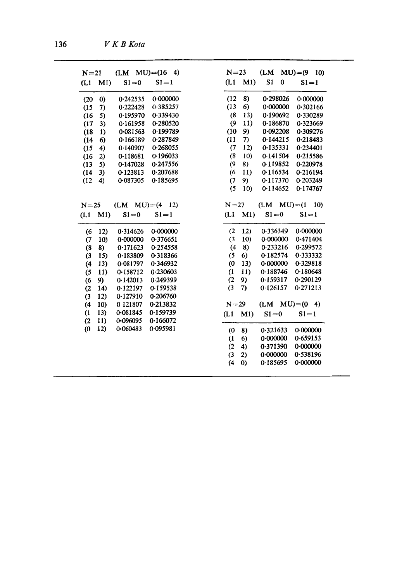| $N=21$                |          |                  | $(LM MU)=(16 4)$ |
|-----------------------|----------|------------------|------------------|
| (L1)                  | M1)      | $S1 = 0$         | $S1 = 1$         |
| (20)                  | $\bf{0}$ | 0.242535         | 0.000000         |
| (15)                  | 7)       | 0.222428         | 0.385257         |
| (16)                  | 5)       | 0.195970         | 0.339430         |
| (17)                  | 3)       | 0.161958         | 0-280520         |
| (18)                  | 1)       | 0.081563         | 0.199789         |
| (14)                  | 6)       | 0.166189         | 0.287849         |
| (15)                  | 4)       | 0.140907         | 0.268055         |
| (16)                  | 2)       | 0.118681         | 0.196033         |
| (13)                  | 5)       | 0.147028         | 0.247556         |
| (14)                  | 3)       | 0.123813         | 0.207688         |
| (12)                  | 4)       | 0.087305         | 0.185695         |
|                       |          |                  |                  |
| $N=25$                |          | $(LM MU)=(4 12)$ |                  |
| (L1)                  | M1       | $S1 = 0$         | $S1 = 1$         |
| (6                    | 12)      | 0.314626         | 0.000000         |
| (7)                   | 10)      | 0.000000         | 0.376651         |
| $^{(8)}$              | 8)       | 0.171623         | 0.254558         |
| (3)                   | 15)      | 0.183809         | 0.318366         |
| (4)                   | 13)      | 0.081797         | 0.346932         |
| (5)                   | 11)      | 0.158712         | 0.230603         |
| (6)                   | 9)       | 0.142013         | 0.249399         |
| (2)                   | 14)      | 0.122197         | 0.159538         |
| (3)                   | 12)      | 0.127910         | 0-206760         |
| (4)                   | 10)      | 0121807          | 0.213832         |
|                       | 13)      | 0-081845         | 0.159739         |
| $\mathbf{I}$          |          | 0-096095         | 0.166072         |
| (2)                   | 11)      |                  |                  |
| $\boldsymbol{\omega}$ | 12)      | 0.060483         | 0.095981         |
|                       |          |                  |                  |
|                       |          |                  |                  |
|                       |          |                  |                  |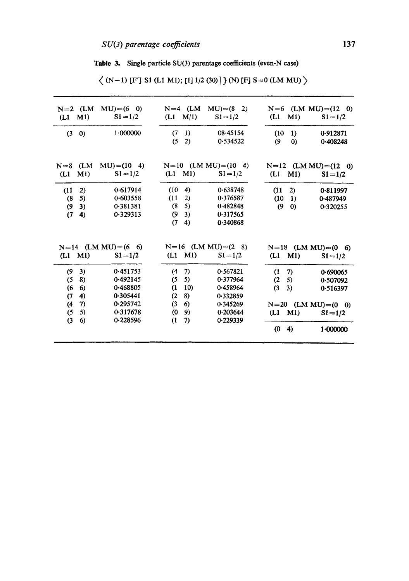Table 3. Single particle SU(3) parentage coefficients (even-N case)

| $N=2$ (LM<br>$(L1 \t M1)$                                                          | $MU$ = (6 0)<br>$SI = 1/2$                   | $N=4$ (LM MU)=(8 2)<br>$(L1 \t M/1)$                                        | $S1 = 1/2$                                               | $(L1 \t M1)$                                                | $N=6$ (LM MU)=(12 0)<br>$S1 = 1/2$ |
|------------------------------------------------------------------------------------|----------------------------------------------|-----------------------------------------------------------------------------|----------------------------------------------------------|-------------------------------------------------------------|------------------------------------|
| $(3 \ 0)$                                                                          | 1.000000                                     | (7)<br>$\left  \right\rangle$<br>(5)<br>2)                                  | 08.45154<br>0.534522                                     | 1)<br>(10)<br>(9)<br>$\boldsymbol{0}$                       | 0.912871<br>0.408248               |
| $N=8$ (LM<br>M1<br>(L1)                                                            | $MU$ = (10 4)<br>$S1 = 1/2$                  | $N=10$ (LM MU) $=(10 4)$<br>$(L1 \t M1)$                                    | $S1 = 1/2$                                               | $N=12$ (LM MU) = (12 0)<br>$(L1 \quad M1)$                  | $S1 = 1/2$                         |
| (11)<br>2)<br>5)<br>(8)<br>3)<br>$\boldsymbol{\theta}$<br>(7)<br>$\left( 4\right)$ | 0.617914<br>0.603558<br>0.381381<br>0.329313 | (10)<br>$\left( 4\right)$<br>(11)<br>2)<br>(8)<br>5)<br>3)<br>9<br>(7<br>4) | 0.638748<br>0.376587<br>0.482848<br>0.317565<br>0.340868 | 2)<br>(11)<br>(10)<br>$\vert$ 1)<br>(9)<br>$\boldsymbol{0}$ | 0.811997<br>0.487949<br>0-320255   |
| $(L1 \t M1)$                                                                       | $N=14$ (LM MU) = (6 6)<br>$S1 = 1/2$         | $(L1 \t M1)$                                                                | $N=16$ (LM MU) = $(2 \ 8)$<br>$SI = 1/2$                 | $N=18$ (LM MU)=(0 6)<br>$(L1 \t M1)$                        | $S1 = 1/2$                         |
| 3)<br>(9<br>8)<br>(5)<br>(6<br>6)                                                  | 0.451753<br>0.492145<br>0-468805             | 7)<br>(4)<br>(5)<br>5)<br>$\mathbf{I}$<br>10)                               | 0.567821<br>0.377964<br>0.458964                         | $\left( 7\right)$<br>(1)<br>(2)<br>5)<br>(3)<br>3)          | 0.690065<br>0.507092<br>0.516397   |
| $\blacktriangleleft$<br>(7)<br>(4)<br>7)<br>5)<br>(5)<br>(3)<br>6)                 | 0.305441<br>0.295742<br>0.317678<br>0.228596 | 8)<br>(2)<br>(3)<br>6)<br>9)<br>$\boldsymbol{\theta}$<br>(1)<br>7)          | 0.332859<br>0.345269<br>0.203644<br>0.229339             | $N=20$ (LM MU)= $(0 \ 0)$<br>$(L1 \t M1)$                   | $S1 = 1/2$                         |
|                                                                                    |                                              |                                                                             |                                                          | $\boldsymbol{\theta}$<br>4)                                 | 1.000000                           |

 $\langle$  (N-1) [F'] S1 (L1 M1); [1] 1/2 (30) ] } (N) [F] S=0 (LM MU)  $\rangle$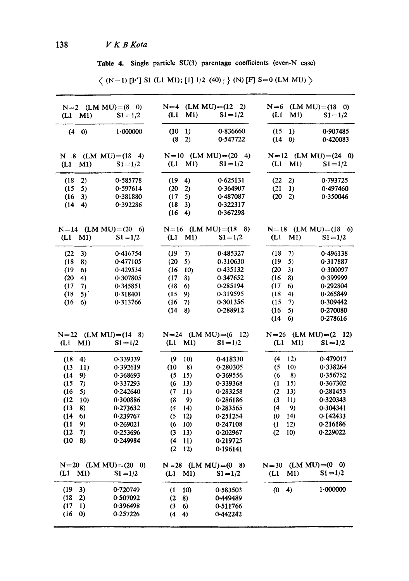Table 4. Single particle SU(3) parentage coefficients (even-N ease)

| (L1)<br>M1)      | $N=2$ (LM MU)=(8 0)<br>$S1 = 1/2$ | (L1)                  | M1)             | $N=4$ (LM MU)=(12 2)<br>$S1 = 1/2$ | (L1                         | M1)                    | $N=6$ (LM MU)=(18 0)<br>$S1 = 1/2$ |
|------------------|-----------------------------------|-----------------------|-----------------|------------------------------------|-----------------------------|------------------------|------------------------------------|
|                  |                                   | (10)                  |                 | 0.836660                           |                             |                        |                                    |
| $(4 \ 0)$        | 1.000000                          | (8)                   | 1)<br>2)        | 0.547722                           | (15)<br>(14)                | 1)<br>$\boldsymbol{0}$ | 0.907485<br>0.420083               |
| $N=8$            | $(LM MU)=(18 4)$                  |                       |                 | $N=10$ (LM MU) $=(20 4)$           |                             |                        | $N=12$ (LM MU)=(24 0)              |
| (L1<br>M1)       | $S1 = 1/2$                        | (L1)                  | M1)             | $S1 = 1/2$                         | (L1                         | M1)                    | $S1 = 1/2$                         |
| (18)<br>2)       | 0.585778                          | (19)                  | 4)              | 0.625131                           | (22)                        | 2)                     | 0.793725                           |
| (15)<br>5)       | 0.597614                          | (20)                  | 2)              | 0.364907                           | (21)                        | $\bf{1}$               | 0.497460                           |
| (16)<br>3)       | 0.381880                          | (17)                  | 5)              | 0.487087                           | (20)                        | 2)                     | 0.350046                           |
| (14)<br>4)       | 0.392286                          | (18)                  | 3)              | 0.322317                           |                             |                        |                                    |
|                  |                                   | (16)                  | 4)              | 0.367298                           |                             |                        |                                    |
|                  | $N=14$ (LM MU) = (20 6)           |                       |                 | $N=16$ (LM MU) = (18 8)            |                             |                        | $N=18$ (LM MU)=(18 6)              |
| M1)<br>(L1       | $S1 = 1/2$                        | (L1)                  | M1)             | $S1 = 1/2$                         | (L1                         | M1)                    | $S1 = 1/2$                         |
| (22)<br>3)       | 0.416754                          | (19                   | 7)              | 0.485327                           | (18)                        | 7)                     | 0.496138                           |
| (18)<br>8)       | 0.477105                          | (20)                  | 5)              | 0.310630                           | (19)                        | 5)                     | 0.317887                           |
| (19)<br>6)       | 0.429534                          | (16)                  | 10 <sub>1</sub> | 0.435132                           | (20)                        | 3)                     | 0.300097                           |
| (20)<br>4)       | 0.307805                          | (17)                  | 8)              | 0.347652                           | (16)                        | 8)                     | 0.399999                           |
| 7)<br>(17)       | 0.345851                          | (18)                  | 6)              | 0.285194                           | (17)                        | 6)                     | 0.292804                           |
| (18)<br>5)       | 0.318401                          | (15)                  | 9)              | 0.319595                           | (18)                        | 4)                     | 0.265849                           |
| (16)<br>6)       | 0.313766                          | (16                   | 7)              | 0.301356                           | (15)                        | 7)                     | 0.309442                           |
|                  |                                   | (14)                  | 8)              | 0.288912                           | (16)                        | 5)                     | 0.270080                           |
|                  |                                   |                       |                 |                                    | (14)                        | 6)                     | 0.278616                           |
|                  | $N=22$ (LM MU)=(14 8)             |                       |                 | $N=24$ (LM MU) = (6 12)            |                             |                        | $N=26$ (LM MU)=(2 12)              |
| $(L1 \t M1)$     | $S1 = 1/2$                        | $(L1 \t M1)$          |                 | $S1 = 1/2$                         | (L1)                        | M1)                    | $S1 = 1/2$                         |
| (18)<br>4)       | 0.339339                          | $\boldsymbol{\theta}$ | 10)             | 0.418330                           | (4)                         | 12)                    | 0.479017                           |
| 11)<br>(13)      | 0.392619                          | (10)                  | 8)              | 0.280305                           | (5)                         | 10)                    | 0.338264                           |
| (14)<br>9)       | 0.368693                          | (5)                   | 15)             | 0.369556                           | (6)                         | 8)                     | 0.356752                           |
| (15)<br>7)       | 0.337293                          | (6                    | 13)             | 0.339368                           | $\mathbf{I}$                | 15)                    | 0.367302                           |
| (16)<br>5)       | 0.242640                          | (7)                   | 11)             | 0-283258                           | (2)                         | 13)                    | 0.281453                           |
| (12)<br>10)      | 0.300886                          | (8)                   | 9)              | 0.286186                           | (3)                         | 11)                    | 0.320343                           |
| (13)<br>8)       | 0.273632                          | (4)                   | 14)             | 0.283565                           | (4)                         | 9)                     | 0.304341                           |
| (14)<br>6)       | 0.239767                          | (5)                   | 12)             | 0.251254                           | $\boldsymbol{\theta}$       | 14)                    | 0.142433                           |
| (11)<br>9)       | 0.269021                          | (6)                   | 10 <sub>1</sub> | 0.247108                           | $\mathbf{d}$                | 12)                    | 0.216186                           |
| (12)<br>7)       | 0.253696                          | $\left(3\right)$      | 13)             | 0.202967                           | (2)                         | 10)                    | 0.229022                           |
| (10)<br>8)       | 0.249984                          | (4)                   | 11)             | 0.219725                           |                             |                        |                                    |
|                  |                                   | (2)                   | 12)             | 0.196141                           |                             |                        |                                    |
|                  | $N=20$ (LM MU) = (20 0)           |                       |                 | $N=28$ (LM MU) = (0 8)             |                             |                        | $N = 30$ (LM MU) = (0 0)           |
| M1)<br>(L1)      | $SI = 1/2$                        | $(L1 \t M1)$          |                 | $S1 = 1/2$                         | (L1)                        | M1)                    | $S_1 = 1/2$                        |
| (19)<br>3)       | 0.720749                          | $\mathbf{u}$          | 10)             | 0.583503                           | $\boldsymbol{\mathrm{(0)}}$ | 4)                     | 1.000000                           |
| (18)<br>2)       | 0.507092                          | (2)                   | 8)              | 0-449489                           |                             |                        |                                    |
| (17)<br>1)       | 0.396498                          | (3)                   | 6)              | 0.511766                           |                             |                        |                                    |
| (16)<br>$\Omega$ | 0.257226                          | (4)                   | 4)              | 0-442242                           |                             |                        |                                    |
|                  |                                   |                       |                 |                                    |                             |                        |                                    |

 $\langle$  (N-1) [F'] S1 (L1 M1); [1] 1/2 (40) | } (N) [F] S=0 (LM MU)  $\rangle$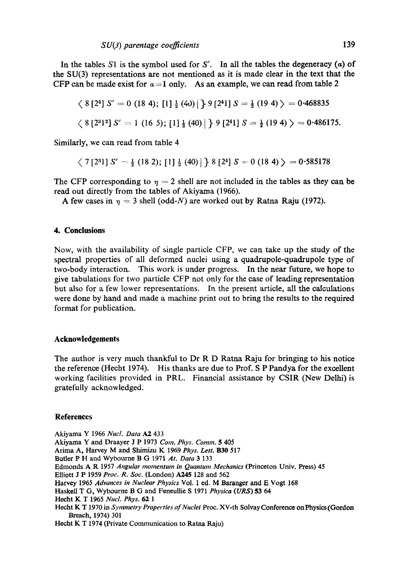In the tables S1 is the symbol used for S'. In all the tables the degeneracy  $(a)$  of the SU(3) representations are not mentioned as it is made clear in the text that the CFP can be made exist for  $\alpha = 1$  only. As an example, we can read from table 2

$$
\langle 8 [2^4] S' = 0 (18 4); [1] \frac{1}{2} (40) | 9 [2^4 1] S = \frac{1}{2} (19 4) \rangle = 0.468835
$$
  
 $\langle 8 [2^3 1^2] S' = 1 (16 5); [1] \frac{1}{2} (40) | 9 [2^4 1] S = \frac{1}{2} (19 4) \rangle = 0.486175.$ 

Similarly, we can read from table 4

$$
\langle 7[2^3]
$$
 S' =  $\frac{1}{2}$  (18 2); [1]  $\frac{1}{2}$  (40) |  $\rangle$  8 [2<sup>4</sup>] S = 0 (18 4)  $\rangle$  = 0.585178

The CFP corresponding to  $\eta = 2$  shell are not included in the tables as they can be read out directly from the tables of Akiyama (1966).

A few cases in  $\eta = 3$  shell (odd-N) are worked out by Ratna Raju (1972).

# **4. Conclusions**

Now, with the availability of single particle CFP, we can take up the study of the spectral properties of all deformed nuclei using a quadrupole-quadrupole type of two-body interaction. This work is under progress. In the near future, we hope to give tabulations for two particle CFP not only for the ease of leading representation but also for a few lower representations. In the present article, all the calculations were done by hand and made a machine print out to bring the results to the required format for publication.

### **Acknowledgements**

The author is very much thankful to Dr R D Ratna Raju for bringing to his notice the reference (Heeht 1974). His thanks are due to Prof. S P Pandya for the excellent working facilities provided in PRL. Financial assistance by CSIR (New Delhi) is gratefully acknowledged.

### **References**

Akiyama Y 1966 *Nucl. Data A2* 433 Akiyama Y and Draayer J P 1973 *Com. Phys. Comm.* 5 405 Arima A, Harvey M and Shimizu K 1969 *Phys. Lett.* B30 517 Butler P H and Wybourne B G 1971 *At. Data* 3 133 Edmonds A R 1957 *Angular momentum in Quantum Mechanics* (Princeton Univ. Press) 45 Elliott J P 1959 *Proc. R. Soc.* (London) A245 128 and 562 Harvey 1965 *Advances in Nuclear Physics* Vol. 1 ed. M Baranger and E Vogt 168 Haskell T G, Wybourne B G and Feneullie S 1971 *Physica* (URS) 53 64 Hecht K T 1965 *Nucl. Phys.* 62 1 Heeht K T 1970 in *Symmetry Properties of Nuclei* Proc. XV-th SolvayConference onPhysies(Gordon Breach, 1974) 301 Heeht K T 1974 (Private Communication to Ratna Raju)